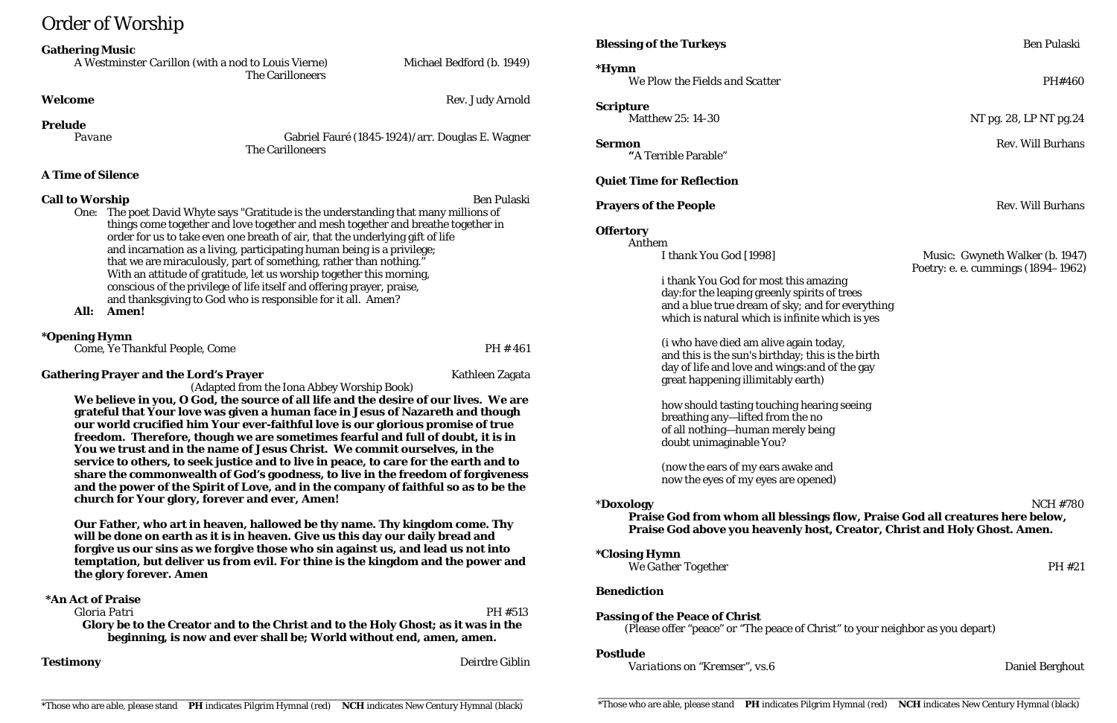Order of Worship

### **Music: Gwyneth Walker (b. 1947)** Poetry: e. e. cummings (1894–1962)

*Variations on "Kremser", vs.6* Daniel Berghout

| <b>Gathering Music</b>                                                                                                                                                                                                                                                                                                                                                                                                                                                                                                                                                                                                                                                                                                                     |                           | <b>Blessing of the Turkeys</b>                                                                                                                                                                                                                        | <b>Ben Pulaski</b>                                                    |
|--------------------------------------------------------------------------------------------------------------------------------------------------------------------------------------------------------------------------------------------------------------------------------------------------------------------------------------------------------------------------------------------------------------------------------------------------------------------------------------------------------------------------------------------------------------------------------------------------------------------------------------------------------------------------------------------------------------------------------------------|---------------------------|-------------------------------------------------------------------------------------------------------------------------------------------------------------------------------------------------------------------------------------------------------|-----------------------------------------------------------------------|
| A Westminster Carillon (with a nod to Louis Vierne)<br>The Carilloneers                                                                                                                                                                                                                                                                                                                                                                                                                                                                                                                                                                                                                                                                    | Michael Bedford (b. 1949) | *Hymn<br>We Plow the Fields and Scatter                                                                                                                                                                                                               | PH#460                                                                |
| Welcome                                                                                                                                                                                                                                                                                                                                                                                                                                                                                                                                                                                                                                                                                                                                    | <b>Rev. Judy Arnold</b>   | <b>Scripture</b>                                                                                                                                                                                                                                      |                                                                       |
| <b>Prelude</b>                                                                                                                                                                                                                                                                                                                                                                                                                                                                                                                                                                                                                                                                                                                             |                           | <b>Matthew 25: 14-30</b>                                                                                                                                                                                                                              | NT pg. 28, LP NT pg.24                                                |
| Gabriel Fauré (1845-1924)/arr. Douglas E. Wagner<br>Pavane<br><b>The Carilloneers</b>                                                                                                                                                                                                                                                                                                                                                                                                                                                                                                                                                                                                                                                      |                           | <b>Sermon</b><br>"A Terrible Parable"                                                                                                                                                                                                                 | Rev. Will Burhans                                                     |
| <b>A Time of Silence</b>                                                                                                                                                                                                                                                                                                                                                                                                                                                                                                                                                                                                                                                                                                                   |                           | <b>Quiet Time for Reflection</b>                                                                                                                                                                                                                      |                                                                       |
| <b>Call to Worship</b><br>One: The poet David Whyte says "Gratitude is the understanding that many millions of                                                                                                                                                                                                                                                                                                                                                                                                                                                                                                                                                                                                                             | <b>Ben Pulaski</b>        | <b>Prayers of the People</b>                                                                                                                                                                                                                          | Rev. Will Burhans                                                     |
| things come together and love together and mesh together and breathe together in<br>order for us to take even one breath of air, that the underlying gift of life<br>and incarnation as a living, participating human being is a privilege;<br>that we are miraculously, part of something, rather than nothing.<br>With an attitude of gratitude, let us worship together this morning,<br>conscious of the privilege of life itself and offering prayer, praise,<br>and thanksgiving to God who is responsible for it all. Amen?<br>All:<br><b>Amen!</b>                                                                                                                                                                                 |                           | <b>Offertory</b><br>Anthem<br>I thank You God [1998]<br>i thank You God for most this amazing<br>day: for the leaping greenly spirits of trees<br>and a blue true dream of sky; and for everything<br>which is natural which is infinite which is yes | Music: Gwyneth Walker (b. 1947)<br>Poetry: e. e. cummings (1894–1962) |
| <i><b>*Opening Hymn</b></i><br>Come, Ye Thankful People, Come                                                                                                                                                                                                                                                                                                                                                                                                                                                                                                                                                                                                                                                                              | PH #461                   | (i who have died am alive again today,<br>and this is the sun's birthday; this is the birth                                                                                                                                                           |                                                                       |
| <b>Gathering Prayer and the Lord's Prayer</b>                                                                                                                                                                                                                                                                                                                                                                                                                                                                                                                                                                                                                                                                                              | Kathleen Zagata           | day of life and love and wings: and of the gay<br>great happening illimitably earth)                                                                                                                                                                  |                                                                       |
| (Adapted from the Iona Abbey Worship Book)<br>We believe in you, O God, the source of all life and the desire of our lives. We are<br>grateful that Your love was given a human face in Jesus of Nazareth and though<br>our world crucified him Your ever-faithful love is our glorious promise of true<br>freedom. Therefore, though we are sometimes fearful and full of doubt, it is in<br>You we trust and in the name of Jesus Christ. We commit ourselves, in the<br>service to others, to seek justice and to live in peace, to care for the earth and to<br>share the commonwealth of God's goodness, to live in the freedom of forgiveness<br>and the power of the Spirit of Love, and in the company of faithful so as to be the |                           | how should tasting touching hearing seeing<br>breathing any-lifted from the no<br>of all nothing-human merely being<br>doubt unimaginable You?<br>(now the ears of my ears awake and<br>now the eyes of my eyes are opened)                           |                                                                       |
| church for Your glory, forever and ever, Amen!                                                                                                                                                                                                                                                                                                                                                                                                                                                                                                                                                                                                                                                                                             |                           | <i><b>*Doxology</b></i>                                                                                                                                                                                                                               | <b>NCH #780</b>                                                       |
| Our Father, who art in heaven, hallowed be thy name. Thy kingdom come. Thy<br>will be done on earth as it is in heaven. Give us this day our daily bread and                                                                                                                                                                                                                                                                                                                                                                                                                                                                                                                                                                               |                           | Praise God from whom all blessings flow, Praise God all creatures here below,<br>Praise God above you heavenly host, Creator, Christ and Holy Ghost. Amen.                                                                                            |                                                                       |
| forgive us our sins as we forgive those who sin against us, and lead us not into<br>temptation, but deliver us from evil. For thine is the kingdom and the power and<br>the glory forever. Amen                                                                                                                                                                                                                                                                                                                                                                                                                                                                                                                                            |                           | <i><b>*Closing Hymn</b></i><br>We Gather Together                                                                                                                                                                                                     | PH #21                                                                |
| *An Act of Praise                                                                                                                                                                                                                                                                                                                                                                                                                                                                                                                                                                                                                                                                                                                          |                           | <b>Benediction</b>                                                                                                                                                                                                                                    |                                                                       |
| Gloria Patri<br>Glory be to the Creator and to the Christ and to the Holy Ghost; as it was in the<br>beginning, is now and ever shall be; World without end, amen, amen.                                                                                                                                                                                                                                                                                                                                                                                                                                                                                                                                                                   | PH #513                   | <b>Passing of the Peace of Christ</b><br>(Please offer "peace" or "The peace of Christ" to your neighbor as you depart)                                                                                                                               |                                                                       |

**Testimony** Deirdre Giblin

**Postlude**

## **Rev. Will Burhans**

\_\_\_\_\_\_\_\_\_\_\_\_\_\_\_\_\_\_\_\_\_\_\_\_\_\_\_\_\_\_\_\_\_\_\_\_\_\_\_\_\_\_\_\_\_\_\_\_\_\_\_\_\_\_\_\_\_\_\_\_\_\_\_\_\_\_\_\_\_\_\_\_\_\_\_\_\_\_\_\_\_\_\_\_\_\_\_\_\_\_\_\_\_\_\_ \*Those who are able, please stand **PH** indicates Pilgrim Hymnal (red) **NCH** indicates New Century Hymnal (black)